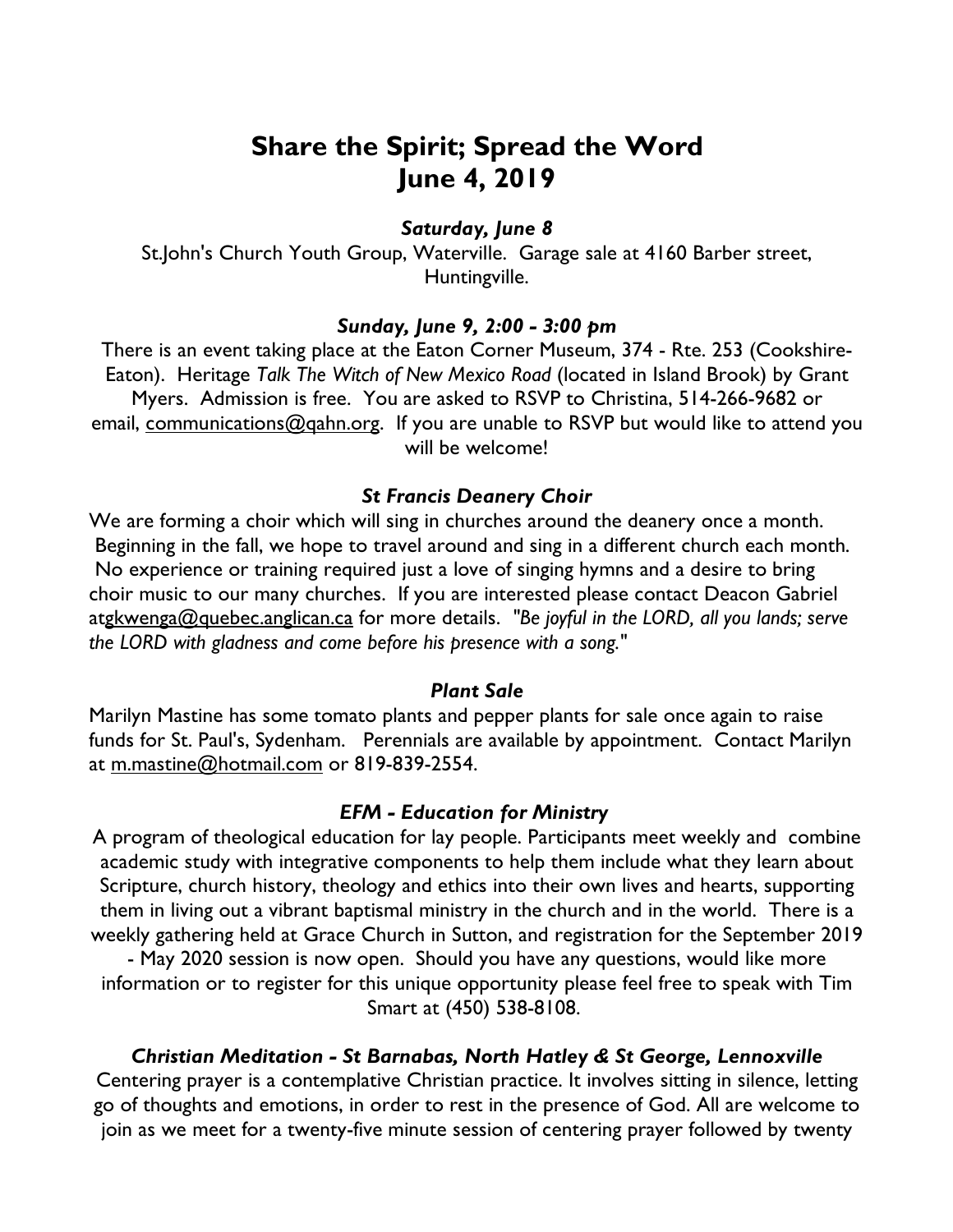# **Share the Spirit; Spread the Word June 4, 2019**

## *Saturday, June 8*

St.John's Church Youth Group, Waterville. Garage sale at 4160 Barber street, Huntingville.

### *Sunday, June 9, 2:00 - 3:00 pm*

There is an event taking place at the Eaton Corner Museum, 374 - Rte. 253 (Cookshire-Eaton). Heritage *Talk The Witch of New Mexico Road* (located in Island Brook) by Grant Myers. Admission is free. You are asked to RSVP to Christina, 514-266-9682 or email, communications@gahn.org. If you are unable to RSVP but would like to attend you will be welcome!

### *St Francis Deanery Choir*

We are forming a choir which will sing in churches around the deanery once a month. Beginning in the fall, we hope to travel around and sing in a different church each month. No experience or training required just a love of singing hymns and a desire to bring choir music to our many churches. If you are interested please contact Deacon Gabriel atgkwenga@quebec.anglican.ca for more details. *"Be joyful in the LORD, all you lands; serve the LORD with gladness and come before his presence with a song."*

## *Plant Sale*

Marilyn Mastine has some tomato plants and pepper plants for sale once again to raise funds for St. Paul's, Sydenham. Perennials are available by appointment. Contact Marilyn at m.mastine@hotmail.com or 819-839-2554.

#### *EFM - Education for Ministry*

A program of theological education for lay people. Participants meet weekly and combine academic study with integrative components to help them include what they learn about Scripture, church history, theology and ethics into their own lives and hearts, supporting them in living out a vibrant baptismal ministry in the church and in the world. There is a weekly gathering held at Grace Church in Sutton, and registration for the September 2019

- May 2020 session is now open. Should you have any questions, would like more information or to register for this unique opportunity please feel free to speak with Tim Smart at (450) 538-8108.

*Christian Meditation - St Barnabas, North Hatley & St George, Lennoxville*

Centering prayer is a contemplative Christian practice. It involves sitting in silence, letting go of thoughts and emotions, in order to rest in the presence of God. All are welcome to join as we meet for a twenty-five minute session of centering prayer followed by twenty